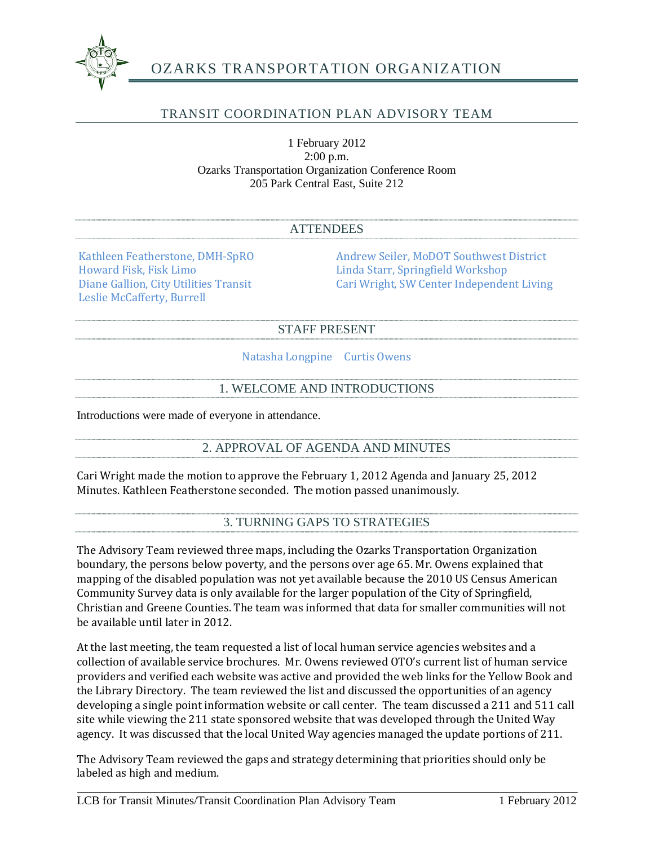

# OZARKS TRANSPORTATION ORGANIZATION

## TRANSIT COORDINATION PLAN ADVISORY TEAM

1 February 2012 2:00 p.m. Ozarks Transportation Organization Conference Room 205 Park Central East, Suite 212

| <b>ATTENDEES</b> |  |  |  |
|------------------|--|--|--|
|------------------|--|--|--|

Howard Fisk, Fisk Limo<br>
Diane Gallion, City Utilities Transit<br>
Cari Wright, SW Center Independen Leslie McCafferty, Burrell

Kathleen Featherstone, DMH-SpRO<br>
Howard Fisk, Fisk Limo<br>
Linda Starr, Springfield Workshop Cari Wright, SW Center Independent Living

#### STAFF PRESENT

Natasha Longpine Curtis Owens

### 1. WELCOME AND INTRODUCTIONS

Introductions were made of everyone in attendance.

2. APPROVAL OF AGENDA AND MINUTES

Cari Wright made the motion to approve the February 1, 2012 Agenda and January 25, 2012 Minutes. Kathleen Featherstone seconded. The motion passed unanimously.

3. TURNING GAPS TO STRATEGIES

The Advisory Team reviewed three maps, including the Ozarks Transportation Organization boundary, the persons below poverty, and the persons over age 65. Mr. Owens explained that mapping of the disabled population was not yet available because the 2010 US Census American Community Survey data is only available for the larger population of the City of Springfield, Christian and Greene Counties. The team was informed that data for smaller communities will not be available until later in 2012.

At the last meeting, the team requested a list of local human service agencies websites and a collection of available service brochures. Mr. Owens reviewed OTO's current list of human service providers and verified each website was active and provided the web links for the Yellow Book and the Library Directory. The team reviewed the list and discussed the opportunities of an agency developing a single point information website or call center. The team discussed a 211 and 511 call site while viewing the 211 state sponsored website that was developed through the United Way agency. It was discussed that the local United Way agencies managed the update portions of 211.

The Advisory Team reviewed the gaps and strategy determining that priorities should only be labeled as high and medium.